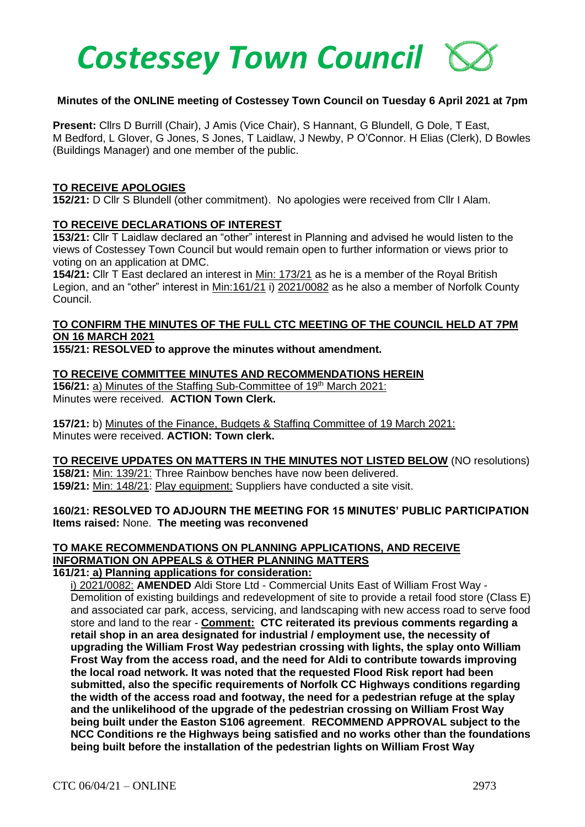

#### **Minutes of the ONLINE meeting of Costessey Town Council on Tuesday 6 April 2021 at 7pm**

**Present:** Cllrs D Burrill (Chair), J Amis (Vice Chair), S Hannant, G Blundell, G Dole, T East, M Bedford, L Glover, G Jones, S Jones, T Laidlaw, J Newby, P O'Connor. H Elias (Clerk), D Bowles (Buildings Manager) and one member of the public.

#### **TO RECEIVE APOLOGIES**

**152/21:** D Cllr S Blundell (other commitment). No apologies were received from Cllr I Alam.

#### **TO RECEIVE DECLARATIONS OF INTEREST**

**153/21:** Cllr T Laidlaw declared an "other" interest in Planning and advised he would listen to the views of Costessey Town Council but would remain open to further information or views prior to voting on an application at DMC.

**154/21:** Cllr T East declared an interest in Min: 173/21 as he is a member of the Royal British Legion, and an "other" interest in Min:161/21 i) 2021/0082 as he also a member of Norfolk County Council.

# **TO CONFIRM THE MINUTES OF THE FULL CTC MEETING OF THE COUNCIL HELD AT 7PM ON 16 MARCH 2021**

**155/21: RESOLVED to approve the minutes without amendment.**

#### **TO RECEIVE COMMITTEE MINUTES AND RECOMMENDATIONS HEREIN**

**156/21:** a) Minutes of the Staffing Sub-Committee of 19<sup>th</sup> March 2021: Minutes were received. **ACTION Town Clerk.**

**157/21:** b) Minutes of the Finance, Budgets & Staffing Committee of 19 March 2021: Minutes were received. **ACTION: Town clerk.**

**TO RECEIVE UPDATES ON MATTERS IN THE MINUTES NOT LISTED BELOW** (NO resolutions) **158/21:** Min: 139/21: Three Rainbow benches have now been delivered. **159/21:** Min: 148/21: Play equipment: Suppliers have conducted a site visit.

#### **160/21: RESOLVED TO ADJOURN THE MEETING FOR 15 MINUTES' PUBLIC PARTICIPATION Items raised:** None. **The meeting was reconvened**

# **TO MAKE RECOMMENDATIONS ON PLANNING APPLICATIONS, AND RECEIVE INFORMATION ON APPEALS & OTHER PLANNING MATTERS**

# **161/21: a) Planning applications for consideration:**

i) 2021/0082: **AMENDED** Aldi Store Ltd - Commercial Units East of William Frost Way - Demolition of existing buildings and redevelopment of site to provide a retail food store (Class E) and associated car park, access, servicing, and landscaping with new access road to serve food store and land to the rear - **Comment: CTC reiterated its previous comments regarding a retail shop in an area designated for industrial / employment use, the necessity of upgrading the William Frost Way pedestrian crossing with lights, the splay onto William Frost Way from the access road, and the need for Aldi to contribute towards improving the local road network. It was noted that the requested Flood Risk report had been submitted, also the specific requirements of Norfolk CC Highways conditions regarding the width of the access road and footway, the need for a pedestrian refuge at the splay and the unlikelihood of the upgrade of the pedestrian crossing on William Frost Way being built under the Easton S106 agreement**. **RECOMMEND APPROVAL subject to the NCC Conditions re the Highways being satisfied and no works other than the foundations being built before the installation of the pedestrian lights on William Frost Way**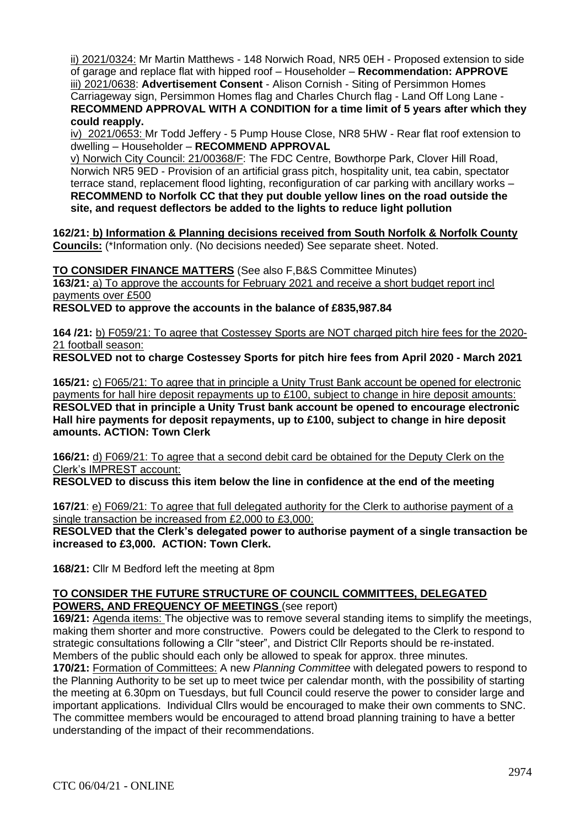ii) 2021/0324: Mr Martin Matthews - 148 Norwich Road, NR5 0EH - Proposed extension to side of garage and replace flat with hipped roof – Householder – **Recommendation: APPROVE** iii) 2021/0638: **Advertisement Consent** - Alison Cornish - Siting of Persimmon Homes Carriageway sign, Persimmon Homes flag and Charles Church flag - Land Off Long Lane - **RECOMMEND APPROVAL WITH A CONDITION for a time limit of 5 years after which they could reapply.**

iv) 2021/0653: Mr Todd Jeffery - 5 Pump House Close, NR8 5HW - Rear flat roof extension to dwelling – Householder – **RECOMMEND APPROVAL**

v) Norwich City Council: 21/00368/F: The FDC Centre, Bowthorpe Park, Clover Hill Road, Norwich NR5 9ED - Provision of an artificial grass pitch, hospitality unit, tea cabin, spectator terrace stand, replacement flood lighting, reconfiguration of car parking with ancillary works – **RECOMMEND to Norfolk CC that they put double yellow lines on the road outside the site, and request deflectors be added to the lights to reduce light pollution**

**162/21: b) Information & Planning decisions received from South Norfolk & Norfolk County Councils:** (\*Information only. (No decisions needed) See separate sheet. Noted.

**TO CONSIDER FINANCE MATTERS** (See also F,B&S Committee Minutes) **163/21:** a) To approve the accounts for February 2021 and receive a short budget report incl payments over £500 **RESOLVED to approve the accounts in the balance of £835,987.84**

**164 /21:** b) F059/21: To agree that Costessey Sports are NOT charged pitch hire fees for the 2020- 21 football season:

**RESOLVED not to charge Costessey Sports for pitch hire fees from April 2020 - March 2021** 

**165/21:** c) F065/21: To agree that in principle a Unity Trust Bank account be opened for electronic payments for hall hire deposit repayments up to £100, subject to change in hire deposit amounts: **RESOLVED that in principle a Unity Trust bank account be opened to encourage electronic Hall hire payments for deposit repayments, up to £100, subject to change in hire deposit amounts. ACTION: Town Clerk**

**166/21:** d) F069/21: To agree that a second debit card be obtained for the Deputy Clerk on the Clerk's IMPREST account:

**RESOLVED to discuss this item below the line in confidence at the end of the meeting** 

**167/21**: e) F069/21: To agree that full delegated authority for the Clerk to authorise payment of a single transaction be increased from £2,000 to £3,000:

**RESOLVED that the Clerk's delegated power to authorise payment of a single transaction be increased to £3,000. ACTION: Town Clerk.**

**168/21:** Cllr M Bedford left the meeting at 8pm

# **TO CONSIDER THE FUTURE STRUCTURE OF COUNCIL COMMITTEES, DELEGATED POWERS, AND FREQUENCY OF MEETINGS** (see report)

**169/21:** Agenda items: The objective was to remove several standing items to simplify the meetings, making them shorter and more constructive. Powers could be delegated to the Clerk to respond to strategic consultations following a Cllr "steer", and District Cllr Reports should be re-instated. Members of the public should each only be allowed to speak for approx. three minutes.

**170/21:** Formation of Committees: A new *Planning Committee* with delegated powers to respond to the Planning Authority to be set up to meet twice per calendar month, with the possibility of starting the meeting at 6.30pm on Tuesdays, but full Council could reserve the power to consider large and important applications. Individual Cllrs would be encouraged to make their own comments to SNC. The committee members would be encouraged to attend broad planning training to have a better understanding of the impact of their recommendations.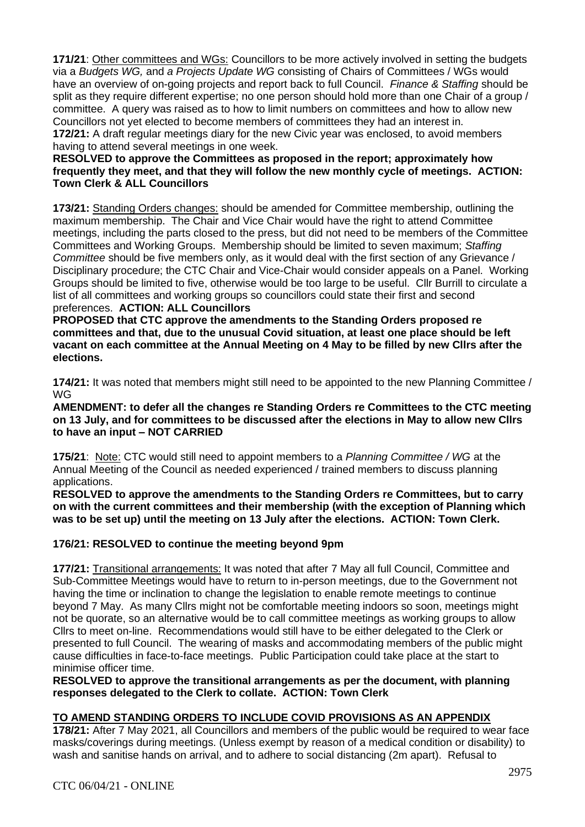**171/21**: Other committees and WGs: Councillors to be more actively involved in setting the budgets via a *Budgets WG,* and *a Projects Update WG* consisting of Chairs of Committees / WGs would have an overview of on-going projects and report back to full Council. *Finance & Staffing* should be split as they require different expertise; no one person should hold more than one Chair of a group / committee. A query was raised as to how to limit numbers on committees and how to allow new Councillors not yet elected to become members of committees they had an interest in. **172/21:** A draft regular meetings diary for the new Civic year was enclosed, to avoid members having to attend several meetings in one week.

#### **RESOLVED to approve the Committees as proposed in the report; approximately how frequently they meet, and that they will follow the new monthly cycle of meetings. ACTION: Town Clerk & ALL Councillors**

**173/21:** Standing Orders changes: should be amended for Committee membership, outlining the maximum membership. The Chair and Vice Chair would have the right to attend Committee meetings, including the parts closed to the press, but did not need to be members of the Committee Committees and Working Groups. Membership should be limited to seven maximum; *Staffing Committee* should be five members only, as it would deal with the first section of any Grievance / Disciplinary procedure; the CTC Chair and Vice-Chair would consider appeals on a Panel. Working Groups should be limited to five, otherwise would be too large to be useful. Cllr Burrill to circulate a list of all committees and working groups so councillors could state their first and second preferences. **ACTION: ALL Councillors**

**PROPOSED that CTC approve the amendments to the Standing Orders proposed re committees and that, due to the unusual Covid situation, at least one place should be left vacant on each committee at the Annual Meeting on 4 May to be filled by new Cllrs after the elections.**

**174/21:** It was noted that members might still need to be appointed to the new Planning Committee / WG

**AMENDMENT: to defer all the changes re Standing Orders re Committees to the CTC meeting on 13 July, and for committees to be discussed after the elections in May to allow new Cllrs to have an input – NOT CARRIED**

**175/21**: Note: CTC would still need to appoint members to a *Planning Committee / WG* at the Annual Meeting of the Council as needed experienced / trained members to discuss planning applications.

**RESOLVED to approve the amendments to the Standing Orders re Committees, but to carry on with the current committees and their membership (with the exception of Planning which was to be set up) until the meeting on 13 July after the elections. ACTION: Town Clerk.**

# **176/21: RESOLVED to continue the meeting beyond 9pm**

**177/21:** Transitional arrangements: It was noted that after 7 May all full Council, Committee and Sub-Committee Meetings would have to return to in-person meetings, due to the Government not having the time or inclination to change the legislation to enable remote meetings to continue beyond 7 May. As many Cllrs might not be comfortable meeting indoors so soon, meetings might not be quorate, so an alternative would be to call committee meetings as working groups to allow Cllrs to meet on-line. Recommendations would still have to be either delegated to the Clerk or presented to full Council. The wearing of masks and accommodating members of the public might cause difficulties in face-to-face meetings. Public Participation could take place at the start to minimise officer time.

**RESOLVED to approve the transitional arrangements as per the document, with planning responses delegated to the Clerk to collate. ACTION: Town Clerk**

## **TO AMEND STANDING ORDERS TO INCLUDE COVID PROVISIONS AS AN APPENDIX**

**178/21:** After 7 May 2021, all Councillors and members of the public would be required to wear face masks/coverings during meetings. (Unless exempt by reason of a medical condition or disability) to wash and sanitise hands on arrival, and to adhere to social distancing (2m apart). Refusal to